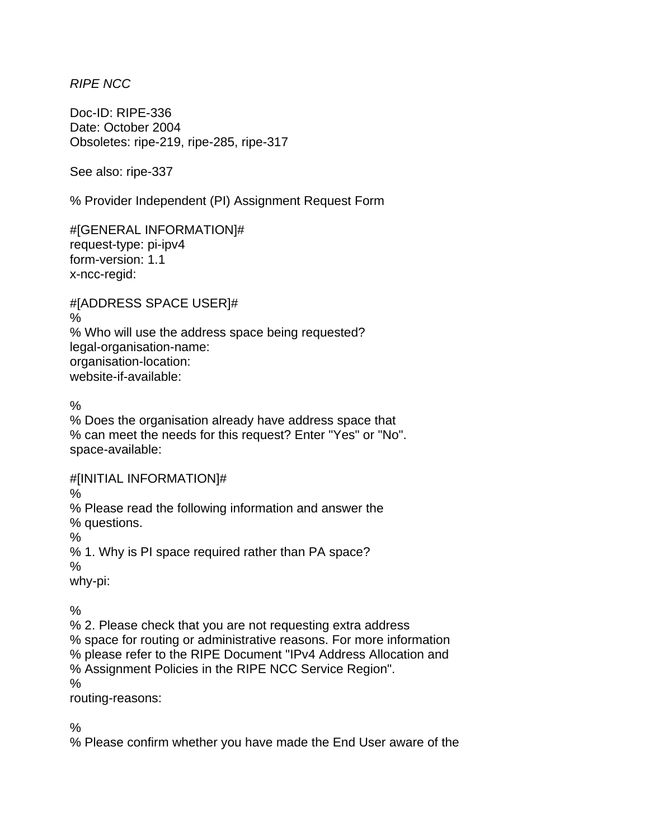*RIPE NCC* 

Doc-ID: RIPE-336 Date: October 2004 Obsoletes: ripe-219, ripe-285, ripe-317

See also: ripe-337

% Provider Independent (PI) Assignment Request Form

#[GENERAL INFORMATION]# request-type: pi-ipv4 form-version: 1.1 x-ncc-regid:

#[ADDRESS SPACE USER]# % % Who will use the address space being requested? legal-organisation-name: organisation-location: website-if-available:

 $\frac{0}{0}$ 

% Does the organisation already have address space that % can meet the needs for this request? Enter "Yes" or "No". space-available:

#[INITIAL INFORMATION]#

%

% Please read the following information and answer the % questions.

%

% 1. Why is PI space required rather than PA space?

%

why-pi:

 $\frac{0}{0}$ 

% 2. Please check that you are not requesting extra address % space for routing or administrative reasons. For more information % please refer to the RIPE Document "IPv4 Address Allocation and % Assignment Policies in the RIPE NCC Service Region". %

routing-reasons:

 $\frac{0}{6}$ 

% Please confirm whether you have made the End User aware of the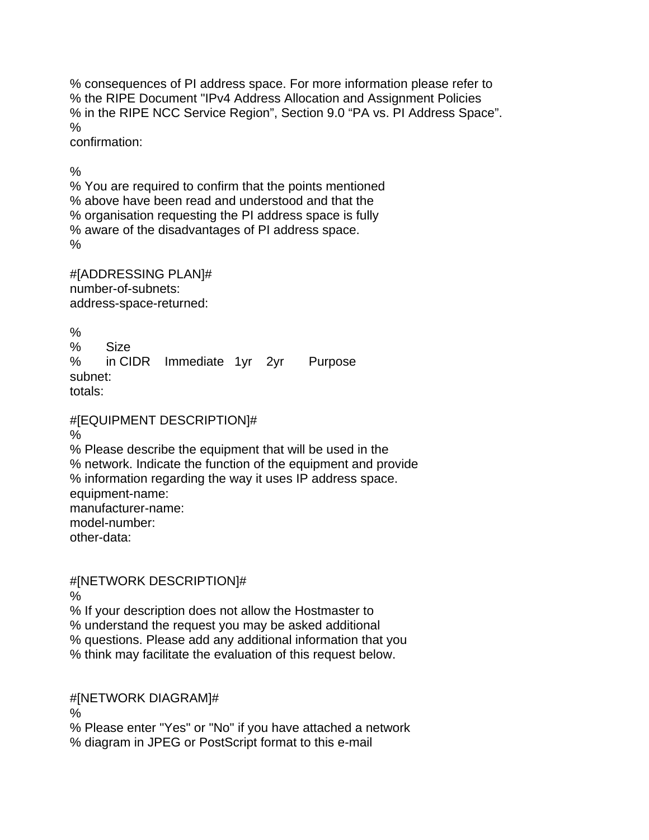% consequences of PI address space. For more information please refer to % the RIPE Document "IPv4 Address Allocation and Assignment Policies % in the RIPE NCC Service Region", Section 9.0 "PA vs. PI Address Space". %

confirmation:

 $\frac{0}{0}$ 

% You are required to confirm that the points mentioned % above have been read and understood and that the % organisation requesting the PI address space is fully % aware of the disadvantages of PI address space. %

#[ADDRESSING PLAN]# number-of-subnets: address-space-returned:

 $\frac{0}{0}$ % Size % in CIDR Immediate 1yr 2yr Purpose subnet: totals:

#[EQUIPMENT DESCRIPTION]#

% % Please describe the equipment that will be used in the % network. Indicate the function of the equipment and provide % information regarding the way it uses IP address space. equipment-name: manufacturer-name: model-number: other-data:

#[NETWORK DESCRIPTION]#

%

% If your description does not allow the Hostmaster to

% understand the request you may be asked additional

% questions. Please add any additional information that you

% think may facilitate the evaluation of this request below.

#[NETWORK DIAGRAM]#

%

% Please enter "Yes" or "No" if you have attached a network % diagram in JPEG or PostScript format to this e-mail